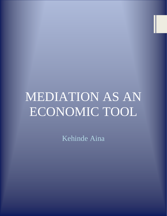# MEDIATION AS AN ECONOMIC TOOL

Kehinde Aina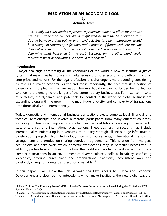# **MEDIATION AS AN ECONOMIC TOOL**

# *by Kehinde Aina*

*"….Not only do court battles represent unproductive time and effort-their results are legal rather than businesslike. It might well be that the best solution to a dispute between a dam builder and a hydroelectric turbine manufacturer would be a change in contract specifications and a promise of future work. But the law does not provide for this businesslike solution- the law only looks backwards to determine what happened in the past. Business, on the other hand, looks forward to what opportunities lie ahead. It is a poor fit.<sup>1</sup> "*

# **Introduction**

A major challenge confronting all the economies of the world is how to institute a justice system that maximizes harmony and simultaneously promotes economic growth of individual, enterprises and nations. For the legal profession, this challenge is more daunting considering its role as a major economic driver and most importantly, the fact that its tradition of conservatism coupled with an inclination towards litigation can no longer be trusted for solution to the emerging challenges of the contemporary business era. For instance, in spite of ourselves, the dynamics and potentials for conflict in the world of global business are expanding along with the growth in the magnitude, diversity, and complexity of transactions both domestically and internationally.

Today, domestic and international business transactions create complex legal, financial, and technical relationships; and involve numerous participants from many different countries, including multinational corporations, global financial institutions, sovereign governments, state enterprises, and international organizations. These business transactions may include international manufacturing joint ventures, multi-party strategic alliances, huge infrastructure construction projects, high technology licensing agreements, international franchising arrangements and production-sharing petroleum agreements.<sup>2</sup> This is aside from mergers, acquisitions and take-overs which domestic transactions may in particular necessitate. In addition, parties from countries throughout the world are negotiating and carrying out these complex transactions in an environment of diverse cultures, political instability, conflicting ideologies, differing bureaucratic and organizational traditions, inconsistent laws, and constantly changing monetary and economic variables.<sup>3</sup>

In this paper, I will show the link between the Law, Access to Justice and Economic Development and describe the antecedents which make inevitable, the new global wave of

<sup>&</sup>lt;sup>1</sup> F.Peter Phillips, The Emerging Role of ADR within the Business Sector, a paper delivered during the  $1<sup>st</sup>$  African ADR Summit , Nov.1 -2, 2006

 $^2$  Salacuse, J.W. <u>Mediation in International Business http://fletcher.tufts.edu/faculty/salacuse/pubs/mediation.html</u>

 $^3$  Salacuse, J.W. <u>Making Global Deals - Negotiating in the International Marketplace</u>. 1991. Boston: Houghton Mifflin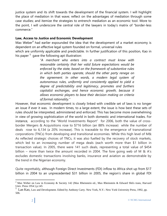justice system and its shift towards the development of the financial system. I will highlight the place of mediation in that wave; reflect on the advantages of mediation through some case studies; and itemize the strategies to entrench mediation as an economic tool. More to the point, I will underscore the central role of the lawyers in today's matrix of "border-less commerce."

# **Law, Access to Justice and Economic Development**

Max Weber<sup>4</sup> had earlier expounded the idea that the development of a market economy is dependent on an effective legal system founded on formal, universal rules which are uniformly applicable and predictable. In further justification of this position, Kao in his paper <sup>5</sup> gave the following apt illustration:

> *"A merchant who enters into a contract must know with reasonable certainty that her valid future expectations would be enforced by the state, based on the framework of substantive rules in which both parties operate, should the other party renege on the agreement. In other words, a modern legal system of autonomous rules, uniformly and consistently applied to yield a degree of predictability and legitimacy, promotes and furthers capitalist exchanges, and hence economic growth, because it allows economic players to base their decision making on criteria of formal rationality."*

However, that economic development is closely linked with credible set of laws is no longer an issue if ever it was. In modern times, to a large extent, the issue is how best these sets of rules should be interpreted, administered and enforced. This has become more overwhelming in view of growing sophistication of the world in both domestic and international trades. For instance, according to the "World Investments Report" for 2006, both the value of crossborder Mergers & Acquisitions rose to \$716 billion (an 88% increase) while the number of deals rose to 6,134 (a 20% increase). This is traceable to the emergence of transnational corporations (TNCs) from developing and transitional economies. While this high level of M& As reflected strategic choices of TNCs, it was also fuelled by the recovery of stock markets, which led to an increasing number of mega deals (each worth more than \$1 billion in transaction value). In 2005, there were 141 such deals, representing a total value of \$454 billion – more than twice the amount recorded in 2004. The fore going web of M & A's excludes domestic transactions involving banks, insurance and aviation as demonstrable by the trend in the Nigerian economy.

Quite regrettably, although Foreign Direct Investments (FDI) inflow to Africa shot up from \$17 billion in 2004 to an unprecedented \$31 billion in 2005, the region's share in global FDI

<sup>&</sup>lt;sup>4</sup> Max Weber on Law in Economy & Society 142 (Max Rheinstein ed., Max Rheinstein & Edward Shils trans, Harvard Univ. Press 1954 ) p.145

<sup>&</sup>lt;sup>5</sup> Lan Kao, Law and Development. Edited by Anthony Carty. New York, N.Y.: New York University Press, 1992, pp. 506.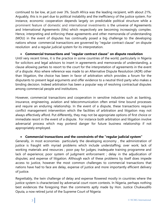continued to be low, at just over 3%. South Africa was the leading recipient, with about 21%. Arguably, this is in part due to political instability and the inefficiency of the justice system. For instance, economic cooperation depends largely on predictable political structure while a prominent feature of domestic and international investments is the universe of Agreements and International Agreements (IIAs) which respectively are becoming increasingly complex. Hence, interpreting and enforcing these agreements and other memoranda of understanding (MOU) in the event of disputes has continually posed a big challenge to the developing nations whose commercial transactions are governed by "regular contract clause" on dispute resolution and a regular judicial system for its interpretation.

# **Commercial transactions and "regular contract clause" on dispute resolution**

Until very recent times, it is the practice in some countries of the world, particularly in Nigeria for solicitors and legal advisors to insert in agreements and memoranda of understanding, a clause allowing parties to resort to the court for the interpretation of agreements in the event of a dispute. Also where reference was made to an Alternative Dispute Resolution (ADR) other than litigation, the choice has been in favor of arbitration which provides a forum for the disputants to present legal arguments and offer evidence to a neutral third party who makes a binding decision. Indeed arbitration has been a popular way of resolving contractual disputes among commercial people and institutions.

However, commercial transactions and cooperation in sensitive industries such as banking, insurance, engineering, aviation and telecommunication often entail time bound processes and require an enduring relationship. In the event of a dispute, these transactions require conflict management intervention which the facilities of arbitration and litigation may not always effectively afford. Put differently, they may not be appropriate options of first choice or immediate resort in the event of a dispute. For instance both arbitration and litigation involve adversarial process which may portend danger for future business relationship if not appropriately employed.

# **Commercial transactions and the constraints of the "regular judicial system"**

Generally, in most economies particularly the developing economy , the administration of justice is fraught with myriad problems which include understaffing; over work; lack of working materials and resources ; poor pay for judges; inadequate training programme and lack of experience; poor system of judgment enforcement ; delay in the adjudication of disputes; and expense of litigation. Although each of these problems by itself does impede access to justice, however the most common challenges to commercial transactions that nations have had to face are delay, expense of justice and more importantly efficient delivery of justice.

Regrettably, the twin challenge of delay and expense flowered mostly in countries where the justice system is characterized by adversarial court room contests. In Nigeria, perhaps nothing best evidences the foregoing than the comments aptly made by Hon. Justice Chukwudifo Oputa, a now retired jurist of the Supreme Court of Nigeria: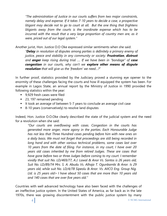*"The administration of Justice in our courts suffers from two major constraints, namely delay and expense. If it takes 7-10 years to decide a case, a prospective litigant may decide not to go to court at all. But the one thing that frightens litigants away from the courts is the inordinate expense which has to be incurred with the result that a very large proportion of country men are, as it were, priced out of our legal system."*

Another jurist, Hon. Justice O.O Oke expressed similar sentiments when she said:

*"Delay in resolution of disputes among parties is definitely a primary enemy of justice, peace and stability in any community or society. Frustration, distrust and anger keep rising during trial …. If we have been in "bondage" of case congestion in our courts, why can"t we explore other means of dispute resolution that will give us the "freedom" we need…?*"

In further proof, statistics provided by the Judiciary proved a stunning eye opener to the enormity of these challenges facing the courts and how ill equipped the system has been. For example in Lagos State, an annual report by the Ministry of Justice in 1990 provided the following statistics within the year:

- 9,929 fresh cases were filed
- 23, 197 remained pending
- It took an average of between 5-7 years to conclude an average civil case
- 8-10 years (conservatively) to resolve land disputes

Indeed, Hon. Justice O.O.Oke clearly described the state of the judicial system and the need for a revolution when she said:

*"Our courts are overflowing with cases. Congestion in the courts has generated more anger, more agony in the parties. Each Honourable Judge has not less that Three Hundred cases pending before him with new ones on a daily basis. We must not forget that proceedings are still being recorded in long hand and with other various technical problems, some cases last over 10 years from the date of filing. For instance, in my court, I have over 20 years old cases inherited by me from retired Judges. These are cases that have gone before two or three Judges before coming to my court. I remember vividly that suit No. LD/469/77, A.J. Lawal & Anor Vs. Santos is 26 years old, Suit No. LD/89/74 Mrs. S. A. Abudu Vs. Alhaja T. Ogunbambi & Anor. Is 29 years old, while suit No. LD/4/78 Sipeolu & Anor. Vs. AIICO Eng. Group Nig. Ltd. is 25 years old> I have about 50 cases that are more than 10 years old and 140 cases that are over five years old."*

Countries with well advanced technology have also been faced with the challenges of an ineffective justice system. In the United States of America, as far back as in the late 1970s, there was growing discontentment with the public justice system by many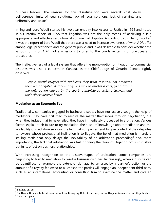business leaders. The reasons for this dissatisfaction were several: cost, delay, belligerence, limits of legal solutions, lack of legal solutions, lack of certainty and uniformity and waste.<sup>6</sup>

In England, Lord Woolf started his two year enquiry into Access to Justice in 1994 and noted in his interim report of 1995 that litigation was not the only means of achieving a fair, appropriate and effective resolution of commercial disputes. According to Sir Henry Brooke,<sup>7</sup> it was the report of Lord Woolf that there was a need to increase awareness of what ADR offer among legal practitioners and the general public, and it was desirable to consider whether the various forms of ADR had any lessons to offer to the courts in terms of practices and procedures.

The ineffectiveness of a legal system that offers the mono-option of litigation to commercial disputes was also a concern in Canada, as the Chief Judge of Ontario, Canada rightly observed:

*"People attend lawyers with problems they want resolved, not problems they want litigated. A trial is only one way to resolve a case, yet a trial is the only option offered by the court- administered system. Lawyers and their clients deserve better."*

# **Mediation as an Economic Tool**

Traditionally, companies engaged in business disputes have not actively sought the help of mediators. They have first tried to resolve the matter themselves through negotiation, but when they judged that to have failed, they have immediately proceeded to arbitration. Various factors explain their failure to try mediation: their lack of knowledge about mediation and the availability of mediation services, the fact that companies tend to give control of their disputes to lawyers whose professional inclination is to litigate, the belief that mediation is merely a stalling tactic that only delays the inevitability of an arbitration proceeding<sup>8</sup> and, more importantly, the fact that arbitration was fast donning the cloak of litigation not just in style but in its effect on business relationships.

With increasing recognition of the disadvantages of arbitration, some companies are beginning to turn to mediation to resolve business disputes. Increasingly, when a dispute can be quantified, for example the extent of damage to an asset by a partner's action or the amount of a royalty fee owed to a licensor, the parties will engage an independent third party such as an international accounting or consulting firm to examine the matter and give an

 $\overline{a}$ 

8 Salacuse *op.cit*

<sup>6</sup> Phillips, *op. cit*

 $^7$  Sir Henry Brooke, Judicial Reforms and the Emerging Role of the Judge in the Dispensation of Justice; Unpublished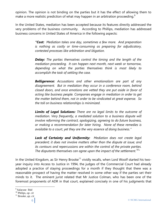opinion. The opinion is not binding on the parties but it has the effect of allowing them to make a more realistic prediction of what may happen in an arbitration proceeding.<sup>9</sup>

In the United States, mediation has been accepted because its features directly addressed the very problems of the business community. According to Phillips, mediation has addressed business concerns in United States of America in the following aspects:

> *"Cost: Mediation takes one day, sometimes a few more. And preparation is nothing as costly or time-consuming as preparing for adjudicatory, contested processes like arbitration and litigation.*

> *Delay: The parties themselves control the timing and the length of the mediation proceeding. It can happen next month, next week or tomorrow, depending on what the parties themselves think is most likely to accomplish the task of settling the case.*

> *Belligerence: Accusations and other emotionalism are part of any disagreement. But in mediation they occur in a conference room, behind closed doors, and once emotions are vetted they are put aside in favor of acting like business people. Companies engage in mediation in order to get the matter behind them, not in order to be vindicated at great expense. So the toll on business relationships is minimized.*

> *Limits of Legal Solutions: There are no legal limits to the outcome of mediation. Very frequently, a mediated solution to a business dispute will involve reforming the contract, apologizing, agreeing to do future business, or making a recommendation for later hiring. None of these remedies is available to a court, yet they are the very essence of doing business."*

> *Lack of Certainty and Uniformity: Mediation does not create legal precedent; it does not involve matters other than the dispute at issue; and its contours and repercussions are within the control of the private parties. The disputants themselves can agree upon the impact of the settlement.<sup>10</sup> "*

In the United Kingdom, as Sir Henry Brooke<sup>11</sup> vividly recalls, when Lord Woolf started his twoyear inquiry into Access to Justice in 1994, the judges of the Commercial Court had already adopted a practice of staying proceedings for a month if they thought that there was a reasonable prospect of having the matter resolved in some other way if the parties set their minds to it. The eminent jurist related that Mr Justice Colman, who has been one of the foremost proponents of ADR in that court, explained concisely in one of his judgments that

<sup>&</sup>lt;sup>9</sup> Salacuse Ibid

<sup>10</sup> Philips, *op. cit*

<sup>11</sup> Brooke ,*op. cit*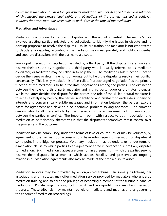commercial mediation *"… as a tool for dispute resolution was not designed to achieve solutions*  which reflected the precise legal rights and obligations of the parties. Instead it achieved *solutions that were mutually acceptable to both sides at the time of the mediation."*

#### **Mediation and Advantages**

Mediation is a process for resolving disputes with the aid of a neutral. The neutral's role involves assisting parties, privately and collectively, to identify the issues in dispute and to develop proposals to resolve the disputes. Unlike arbitration, the mediator is not empowered to decide any disputes; accordingly the mediator may meet privately and hold confidential and separate discussions with the parties to a dispute.

Simply put, mediation is negotiation assisted by a third party. If the disputants are unable to resolve their dispute by negotiation, a third party who is usually referred to as Mediator, conciliator, or facilitator, may be called in to help them. The mediator's sole function is not to decide the issues or determine right or wrong, but to help the disputants resolve their conflict consensually. This is why mediation is often called, "turbocharged negotiation" as the primary function of the mediator is to help facilitate negotiations among the parties. The distinction between the role of a third party mediator and a third party judge or arbitrator is crucial. While the latter decides the dispute for the parties, the role of the skilled neutral mediator is to act as a catalyst by helping the parties in identifying and crystallizing each side's underlying interests and concerns; carry subtle messages and information between the parties; explore bases for agreement and develop a co-operative, problem solving approach. The common denominator to all these efforts by the mediator is the enhancement of communication between the parties in conflict. The important point with respect to both negotiation and mediation as participatory alternatives is that the disputants themselves retain control over the process and the outcome.

Mediation may be compulsory, under the terms of laws or court rules, or may be voluntary, by agreement of the parties. Some jurisdictions have rules requiring mediation of disputes at some point in the litigation process. Voluntary mediation may be undertaken under terms of a mediation clause by which parties to an agreement agree in advance to submit any disputes to mediation. Such mediation clauses are common in agreements in which the parties seek to resolve their disputes in a manner which avoids hostility and preserves an ongoing relationship. Mediation agreements also may be made at the time a dispute arises.

Mediation services may be provided by an organized tribunal. In some jurisdictions, bar associations and institutes may offer mediation service provided by mediators who undergo mediation training and so earn the privilege of becoming a member of the tribunal's panel of mediators. Private organizations, both profit and non-profit, may maintain mediation tribunals. These tribunals may maintain panels of mediators and may have rules governing the conduct of mediation proceedings.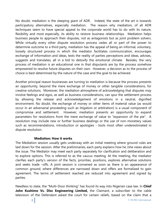No doubt, mediation is the sleeping giant of ADR. Indeed, the state of the art is towards participatory alternatives, especially mediation. The reason why mediation, of all ADR techniques seem to have special appeal to the corporate world has to do with its nature, flexibility and most especially, its ability to restore business relationships. Mediation helps business people to approach their disputes, not as antagonists but as joint problem solvers. While virtually every other dispute resolution process cedes all or part of the power to determine outcome to a third party, mediation has the appeal of being an informal, voluntary, loosely structured process in which the mediator facilitates communication, encourages exchange of information and ideas, tests the reality of parties perceptions and ideas, advises, suggests and translates, all in a bid to detoxify the emotional climate. Besides, the very process of mediation is an educational one in that disputants are by the process somehow empowered to resolve future disputes on their own. However, a decision as to the process of choice is best determined by the nature of the case and the goal to be achieved.

Another principal reason businesses are turning to mediation is because the process presents an opportunity, beyond the mere exchange of money or other tangible considerations, for creative solutions. Moreover, the mediation atmosphere of acknowledging that disputes may involve feelings and egos, as well as business considerations, can spur the settlement process by allowing the release and acknowledgement of emotions in a neutral, dignified environment. No doubt, the exchange of money or other items of material value (as would occur in an adversarial proceeding such as litigation or arbitration) is a usual component of compromise and settlement. However, mediation presents an opportunity to expand parameters for resolutions from the mere exchange of value to "expansion of the pie". A resolution may include new or further business dealings or the use of non-monetary values such as recommendations, introduction or apologies - tools most often underestimated in dispute resolution.

#### **Mediation: How it works**

The Mediation session usually gets underway with an initial meeting where ground rules are laid down for the session. After the preliminaries, each party explains how he /she views about the issue. The Mediator may meet each party separately for clarification and deliberation and to explore options. This is referred to as the caucus meeting. At the meeting, the mediator clarifies each party's version of the facts, priorities, positions, explores alternative solutions and seeks trade –offs. A joint session is convened as soon as there is an appearance of common ground, where differences are narrowed down and offers are formalized to gain agreement. The terms of settlement reached are reduced into agreement and signed by parties.

Needless to state, the "Multi-Door thinking" has found its way into Nigerian case law. In **Chief John Kushimo Vs. Disc Engineering Limited,** the Claimant, a subscriber to the cable television of the Defendant asked the court for certain reliefs, based on the claim that a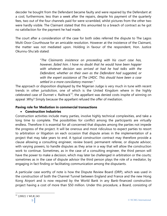decoder he bought from the Defendant became faulty and were repaired by the Defendant at a cost; furthermore, less than a week after the repairs, despite his payment of the quarterly fees, two out of the four channels paid for were scrambled, whilst pictures from the other two were hardly visible. The Claimant stated that this amounted to a breach of contract as he got no satisfaction for the payment he had made.

The court after a consideration of the case for both sides referred the dispute to The Lagos Multi-Door Courthouse for an amicable resolution. However at the insistence of the Claimant, the matter was not mediated upon. Holding in favour of the respondent, Hon. Justice Okunnu-Shu'aib stated:

> "*The Claimants insistence on proceeding with his court case has, however, failed him. I have no doubt that he would have been happier with whatever decision was arrived at had he had talks with the Defendant, whether on their own as the Defendant had suggested, or with the expert assistance of The LMDC. This should have been a case settled in a more conciliatory manner."*

The approach or disposition displayed by the Nigerian Judge is very much in tune with recent trends in other jurisdiction, one of which is the United Kingdom where in the highly celebrated case of Dunnet v. Railtrack<sup>12</sup>, the appellant was denied costs inspite of winning on appeal .Why? Simply because the appellant refused the offer of mediation.

# **Paving role for Mediation in commercial transactions**

# **Construction Industries**

Construction activities include many parties, involve highly technical complexities, and take a long time to complete. The possibilities for conflict among the participants are virtually endless. Therefore it is essential for all concerned that disputes among the parties not impede the progress of the project. It will be onerous and most ridiculous to expect parties to resort to arbitration or litigation on each occasion that dispute arises in the implementation of a project that may take years to end. A typical construction contract may therefore provide a clause allowing a consulting engineer, review board, permanent referee, or dispute advisor, with varying powers, to handle disputes as they arise in a way that will allow the construction work to continue. Sometimes, as in the case of a consulting engineer, the third person will have the power to make a decision, which may later be challenged in arbitration or the courts; sometimes as in the case of dispute advisor the third person plays the role of a mediator, by engaging in fact finding or facilitating communication among the disputants.

A particular case worthy of note is how the Dispute Review Board (DRP), which was used in the construction of both the Channel Tunnel between England and France and the new Hong Kong Airport and is now required by the World Bank in any Bank-financed construction project having a cost of more than \$50 million. Under this procedure, a Board, consisting of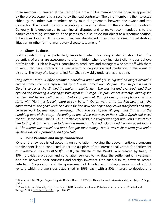three members, is created at the start of the project. One member of the board is appointed by the project owner and a second by the lead contractor. The third member is then selected either by the other two members or by mutual agreement between the owner and the contractor. The Board functions according to rules set down in the construction contract. Generally, it is empowered to examine all disputes and to make recommendations to the parties concerning settlement. If the parties to a dispute do not object to a recommendation, it becomes binding. If, however, they are dissatisfied, they may proceed to arbitration, litigation or other form of mandatory dispute settlement.<sup>13</sup>

#### **•** Show Business

Building relationship is particularly important when nurturing a star in show biz. The potentials of a star are awesome and often hidden when they just start off. It does behove professionals such as lawyers, consultants, producers and managers who start off with them to work into their contracts the mechanism of negotiation and mediation in the event of dispute. The story of a lawyer called Ron Shapiro vividly underscores this point.

*Long before Oprah Winfrey became a household name and got so big and no longer needed a second name, she was represented by a lawyer named Ron Shapiro. Ron helped navigate Oprah"s career as she climbed the major market ladder. She was hot and everybody had their eyes on her, including a very aggressive agent in Chicago. He pursued her ardently. Initially she resisted. But he wouldn"t give up. Not long after that, Ron got one of those phone calls that starts with "Ron, this is really hard to say, but….." Oprah went on to tell Ron how much she appreciated all the good work he"d done for her, how she hoped they could stay friends and may be even work together again someday. Thus Ron lost Oprah Winfrey. But that is not the humbling part of the story. According to one of the attorneys in Ron"s office, Oprah still owed the firm some commissions. On a strictly legal basis, the lawyer was right but, Ron"s instinct told him to drop it, but he refused to follow his instincts. He sued. Oprah and her new agent fought it. The matter was settled and Ron"s firm got their money. But, it was a short-term gain and a life-time loss of opportunities and goodwill.*

# **Joint Ventures and mega transactions**

One of the few published accounts on conciliation involving the above mentioned concerns the first conciliation conducted under the auspices of the International Centre for Settlement of Investment Disputes (ICSID)<sup>14</sup>. ICSID, an affiliate of the World Bank created by treaty in 1964, provides arbitration and conciliation services to facilitate the settlement of investment disputes between host countries and foreign investors. One such dispute, between Tesoro Petroleum Corporation and the government of Trinidad and Tobago, arose out of a joint venture which the two sides established in 1968, each with a 50% interest, to develop and

<sup>&</sup>lt;sup>13</sup> Bunni, Nael G. "Major Project Dispute Review Boards." 1997. In-House Counsel International (June-July 1997). pp. 13-15

<sup>14</sup> Nurick, L. and Schnably, S.J. "The First ICSID Conciliation: Tesoro Petroleum Corporation v. Trinidad and Tobago." 1986. ICSID REVIEW, 1. pp. 340-353.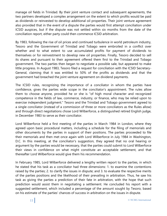manage oil fields in Trinidad. By their joint venture contact and subsequent agreements, the two partners developed a complex arrangement on the extent to which profits would be paid as dividends or reinvested to develop additional oil properties. Their joint venture agreement also provided that in the event of a dispute the parties would first attempt conciliation under ICSID auspices, but if the dispute was not settled within six months from the date of the conciliation report, either party could then commence ICSID arbitration.

By 1983, following the rise of oil prices and continued turbulence in world petroleum industry, Tesoro and the Government of Trinidad and Tobago were embroiled in a conflict over whether and to what extent to use accumulated profits for payment of dividends to themselves or for reinvestment to develop new oil properties. Finally, Tesoro decided to sell its shares and pursuant to their agreement offered them first to the Trinidad and Tobago government. The two parties then began to negotiate a possible sale, but appeared to make little progress. In August 1983, Tesoro filed a request for conciliation with the ICSID Secretary-General, claiming that it was entitled to 50% of the profits as dividends and that the government had breached the joint venture agreement on dividend payments.

The ICSID rules, recognizing the importance of a conciliator in whom the parties have confidence, gives the parties wide scope in the conciliator's appointment. The rules allow them to choose anyone, provided he or she is "of high moral character and recognized competence in the fields of law, commerce, industry, or finance, who may be relied upon to exercise independent judgment." Tesoro and the Trinidad and Tobago government agreed to a single conciliator (instead of a commission of three or more conciliators as the Rules allow) and through direct negotiations chose Lord Wilberforce, a distinguished retired English judge, in December 1983 to serve as their conciliator.

Lord Wilberforce held a first meeting of the parties in March 1984 in London, where they agreed upon basic procedural matters, including a schedule for the filing of memorials and other documents by the parties in support of their positions. The parties proceeded to file their memorials and then met once again with Lord Wilberforce in July 1984 in Washington, D.C. In this meeting, at the conciliator's suggestion, they agreed that no oral hearing or argument by the parties would be necessary, that the parties could submit to Lord Wilberforce their views in confidence on what might constitute an acceptable settlement, and that thereafter Lord Wilberforce would give them his recommendation.

In February 1985, Lord Wilberforce delivered a lengthy written report to the parties, in which he stated that his task as a conciliator had three dimensions: 1. to examine the contentions raised by the parties; 2. to clarify the issues in dispute; and 3. to evaluate the respective merits of the parties positions and the likelihood of their prevailing in arbitration. Thus, he saw his task as giving the parties a prediction of their fate in arbitration, with the hope that such prediction would assist them in negotiating a settlement. He concluded his report with a suggested settlement, which included a percentage of the amount sought by Tesoro, based on his estimate of the parties' chances of success in arbitration on the issues in dispute.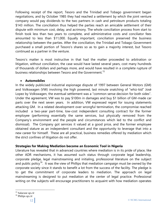Following receipt of the report, Tesoro and the Trinidad and Tobago government began negotiations, and by October 1985 they had reached a settlement by which the joint venture company would pay dividends to the two partners in cash and petroleum products totaling \$143 million. The conciliation thus helped the parties reach an amicable settlement of their dispute with minimum cost, delay, and acrimony. The whole conciliation process from start to finish took less than two years to complete, and administrative costs and conciliator fees amounted to less than \$11,000. Equally important, conciliation preserved the business relationship between the parties. After the conciliation, the Trinidad and Tobago Government purchased a small portion of Tesoro's shares so as to gain a majority interest, but Tesoro continued as a partner in the venture.

Tesoro's matter is most instructive in that had the matter proceeded to arbitration or litigation, without conciliation, the case would have lasted several years, cost many hundreds of thousands of dollars and perhaps more, and would have resulted in a complete rupture of business relationships between Tesoro and the Government.<sup>15</sup>

#### **Automobiles**

In the widely publicised industrial espionage dispute of 1997 between General Motors (GM) and Volkswagen (VW) involving the high powered, last minute snatching of "whiz-kid" José Lopez by Volkswagen, the eventual settlement was a "common sense decision for both sides". Under the agreement, VW was to pay \$100m in damages and buy \$1 billion of GM-made car parts over the next seven years. In addition, VW expressed regret for issuing statements attacking GM. In a related development over wrongful termination, the compromise reached included a two-year part-time, low-cost independent consulting contract for the former employee (performing essentially the same services, but physically removed from the Company's environment and the people and circumstances which led to the conflict and dismissal). The Company got services it valued at a good price, and the former employee obtained stature as an independent consultant and the opportunity to leverage that into a new career for himself. These are all practical, business remedies offered by mediation which the strict confines of litigation do not offer.

# **Strategies for Making Mediation become an Economic Tool in Nigeria**

Literature has revealed that in advanced countries where mediation is in its pride of place, like other ADR mechanisms, it has assumed such status through corporate legal leadership, corporate pledge, legal mainstreaming and initialing, professional literature on the subject and public policy<sup>16</sup>. It was the view of Phillips that mediation campaign must be owned by the corporate society since it stands to benefit a lot from the success of the facility. The pledge is to get the commitment of corporate leaders to mediation. The approach on legal mainstreaming is designed to put mediation at the center of legal practice. Professional writing on the subjects will encourage practitioners to acquaint with how mediation operates

<sup>15</sup> Salacuse *op.cit*

<sup>16</sup> Philips *op.cit*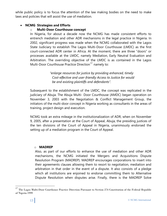while public policy is to focus the attention of the law making bodies on the need to make laws and policies that will assist the use of mediation.

#### **NCMG Strategies and Efforts**

#### o **Multi-Door Courthouse concept**

In Nigeria, for about a decade now the NCMG has made consistent efforts to entrench mediation and other ADR mechanisms in the legal practice in Nigeria. In 2002, significant progress was made when the NCMG collaborated with the Lagos State Judiciary to establish The Lagos Multi-Door Courthouse (LMDC) as the first court-connected ADR center in Africa. At the moment, there are three "doors" or processes available at the LMDC, namely Mediation, Early Neutral Evaluation and Arbitration. The overriding objective of the LMDC is as contained in the Lagos Multi-Door Courthouse Practice Direction<sup>17</sup> namely to:

> *"enlarge resources for justice by providing enhanced, timely Cost-effective and user-friendly Access to Justice for would be and existing plaintiffs and defendants".*

Subsequent to the establishment of the LMDC, the concept was replicated in the judiciary of Abuja. The Abuja Multi- Door Courthouse (AMDC) began operation on November 3, 2003 with the Negotiation & Conflict Management Group, the initiators of the multi-door concept in Nigeria working as consultants in the areas of training, project design and execution.

NCMG took an extra mileage in the institutionalization of ADR, when on November 9, 2005, after a presentation at the Court of Appeal, Abuja, the presiding justices of the ten divisions of the Court of Appeal in Nigeria, unanimously endorsed the setting up of a mediation program in the Court of Appeal.

#### o **MADREP**

Also, as part of our efforts to enhance the use of mediation and other ADR mechanisms, the NCMG initiated the Mergers and Acquisitions Dispute Resolution Program (MADREP). MADREP encourages corporations to insert into their agreements clauses allowing them to resort to negotiation, mediation and arbitration in that order in the event of a dispute. It also consists of a pledge which all institutions are enjoined to endorse committing them to Alternative Dispute Resolution when disputes arise. Finally, there is the MADREP Solve

<sup>17</sup> The Lagos Multi-Door Courthouse Practice Direction Pursuant to Section 274 Constitution of the Federal Republic of Nigeria 1999